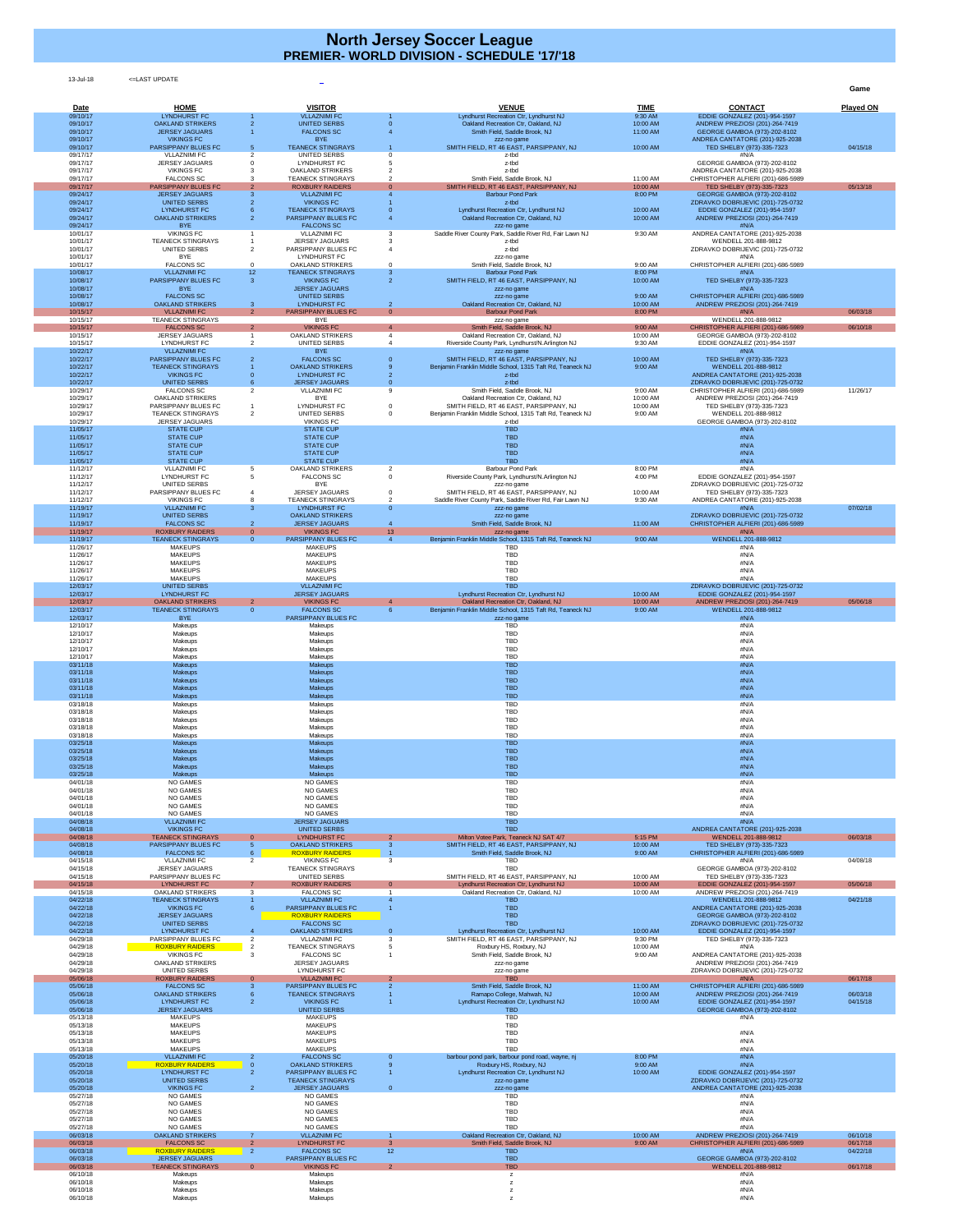13-Jul-18 <=LAST UPDATE

**Game**

| Date                 | <b>HOME</b>                                         |                                | <b>VISITOR</b>                                         |                                  | <b>VENUE</b>                                                                                     | <b>TIME</b>          | <b>CONTACT</b>                                                          | <b>Played ON</b>     |
|----------------------|-----------------------------------------------------|--------------------------------|--------------------------------------------------------|----------------------------------|--------------------------------------------------------------------------------------------------|----------------------|-------------------------------------------------------------------------|----------------------|
| 09/10/17<br>09/10/17 | <b>LYNDHURST FC</b><br><b>OAKLAND STRIKERS</b>      |                                | <b>VLLAZNIMI FC</b><br><b>UNITED SERBS</b>             |                                  | Lyndhurst Recreation Ctr, Lyndhurst NJ<br>Oakland Recreation Ctr, Oakland, NJ                    | 9:30 AM<br>10:00 AM  | EDDIE GONZALEZ (201)-954-1597<br>ANDREW PREZIOSI (201)-264-7419         |                      |
| 09/10/17<br>09/10/17 | <b>JERSEY JAGUARS</b><br><b>VIKINGS FC</b>          |                                | <b>FALCONS SC</b><br><b>BYE</b>                        |                                  | Smith Field, Saddle Brook, NJ                                                                    | 11:00 AM             | GEORGE GAMBOA (973)-202-8102<br>ANDREA CANTATORE (201)-925-2038         |                      |
| 09/10/17             | <b>PARSIPPANY BLUES FC</b>                          | 5                              | <b>TEANECK STINGRAYS</b>                               |                                  | zzz-no game<br>SMITH FIELD, RT 46 EAST, PARSIPPANY, NJ                                           | 10:00 AM             | TED SHELBY (973)-335-7323                                               | 04/15/18             |
| 09/17/17<br>09/17/17 | <b>VLLAZNIMI FC</b><br><b>JERSEY JAGUARS</b>        | $\mathcal{P}$                  | <b>UNITED SERBS</b><br><b>LYNDHURST FC</b>             |                                  | z-tbd<br>z-tbd                                                                                   |                      | #N/A<br>GEORGE GAMBOA (973)-202-8102                                    |                      |
| 09/17/17<br>09/17/17 | <b>VIKINGS FC</b><br><b>FALCONS SC</b>              |                                | <b>OAKLAND STRIKERS</b><br><b>TEANECK STINGRAYS</b>    |                                  | z-tbd<br>Smith Field, Saddle Brook, NJ                                                           | 11:00 AM             | ANDREA CANTATORE (201)-925-2038<br>CHRISTOPHER ALFIERI (201)-686-5989   |                      |
| 09/17/17<br>09/24/17 | <b>PARSIPPANY BLUES FC</b><br><b>JERSEY JAGUARS</b> |                                | <b>ROXBURY RAIDERS</b><br><b>VLLAZNIMI FC</b>          |                                  | SMITH FIELD, RT 46 EAST, PARSIPPANY, NJ<br><b>Barbour Pond Park</b>                              | 10:00 AM<br>8:00 PM  | TED SHELBY (973)-335-7323<br>GEORGE GAMBOA (973)-202-8102               | 05/13/18             |
| 09/24/17             | <b>UNITED SERBS</b>                                 |                                | <b>VIKINGS FC</b>                                      |                                  | z-tbd                                                                                            |                      | ZDRAVKO DOBRIJEVIC (201)-725-0732                                       |                      |
| 09/24/17<br>09/24/17 | <b>LYNDHURST FC</b><br><b>OAKLAND STRIKERS</b>      |                                | <b>TEANECK STINGRAYS</b><br><b>PARSIPPANY BLUES FC</b> |                                  | Lyndhurst Recreation Ctr, Lyndhurst NJ<br>Oakland Recreation Ctr, Oakland, NJ                    | 10:00 AM<br>10:00 AM | EDDIE GONZALEZ (201)-954-1597<br>ANDREW PREZIOSI (201)-264-7419         |                      |
| 09/24/17<br>10/01/17 | <b>BYE</b><br><b>VIKINGS FC</b>                     |                                | <b>FALCONS SC</b><br><b>VLLAZNIMI FC</b>               |                                  | zzz-no game<br>Saddle River County Park, Saddle River Rd, Fair Lawn NJ                           | 9:30 AM              | #N/A<br>ANDREA CANTATORE (201)-925-2038                                 |                      |
| 10/01/17<br>10/01/17 | <b>TEANECK STINGRAYS</b><br>UNITED SERBS            |                                | <b>JERSEY JAGUARS</b><br>PARSIPPANY BLUES FC           |                                  | z-tbd<br>z-tbd                                                                                   |                      | WENDELL 201-888-9812<br>ZDRAVKO DOBRIJEVIC (201)-725-0732               |                      |
| 10/01/17<br>10/01/17 | <b>BYE</b><br><b>FALCONS SC</b>                     |                                | <b>LYNDHURST FC</b><br><b>OAKLAND STRIKERS</b>         |                                  | zzz-no game<br>Smith Field, Saddle Brook, NJ                                                     | 9:00 AM              | #N/A<br>CHRISTOPHER ALFIERI (201)-686-5989                              |                      |
| 10/08/17             | <b>VLLAZNIMI FC</b>                                 | 12 <sup>°</sup>                | <b>TEANECK STINGRAYS</b>                               | -3                               | <b>Barbour Pond Park</b>                                                                         | 8:00 PM              | #N/A                                                                    |                      |
| 10/08/17<br>10/08/17 | <b>PARSIPPANY BLUES FC</b><br><b>BYE</b>            | 3                              | <b>VIKINGS FC</b><br><b>JERSEY JAGUARS</b>             | $\overline{2}$                   | SMITH FIELD, RT 46 EAST, PARSIPPANY, NJ<br>zzz-no game                                           | 10:00 AM             | TED SHELBY (973)-335-7323<br>#N/A                                       |                      |
| 10/08/17<br>10/08/17 | <b>FALCONS SC</b><br><b>OAKLAND STRIKERS</b>        | 3                              | <b>UNITED SERBS</b><br><b>LYNDHURST FC</b>             | $\overline{2}$                   | zzz-no game<br>Oakland Recreation Ctr, Oakland, NJ                                               | 9:00 AM<br>10:00 AM  | CHRISTOPHER ALFIERI (201)-686-5989<br>ANDREW PREZIOSI (201)-264-7419    |                      |
| 10/15/17<br>10/15/17 | <b>VLLAZNIMI FC</b><br><b>TEANECK STINGRAYS</b>     | 2                              | <b>PARSIPPANY BLUES FC</b><br><b>BYE</b>               | $\overline{0}$                   | <b>Barbour Pond Park</b><br>zzz-no game                                                          | 8:00 PM              | #N/A<br>WENDELL 201-888-9812                                            | 06/03/18             |
| 10/15/17<br>10/15/17 | <b>FALCONS SC</b><br><b>JERSEY JAGUARS</b>          | $\overline{2}$                 | <b>VIKINGS FC</b><br><b>OAKLAND STRIKERS</b>           |                                  | Smith Field, Saddle Brook, NJ<br>Oakland Recreation Ctr, Oakland, NJ                             | 9:00 AM<br>10:00 AM  | CHRISTOPHER ALFIERI (201)-686-5989<br>GEORGE GAMBOA (973)-202-8102      | 06/10/18             |
| 10/15/17<br>10/22/17 | <b>LYNDHURST FC</b><br><b>VLLAZNIMI FC</b>          |                                | <b>UNITED SERBS</b><br><b>BYE</b>                      |                                  | Riverside County Park, Lyndhurst/N.Arlington NJ<br>zzz-no game                                   | 9:30 AM              | EDDIE GONZALEZ (201)-954-1597<br>#N/A                                   |                      |
| 10/22/17             | <b>PARSIPPANY BLUES FC</b>                          |                                | <b>FALCONS SC</b>                                      |                                  | SMITH FIELD, RT 46 EAST, PARSIPPANY, NJ                                                          | 10:00 AM             | TED SHELBY (973)-335-7323                                               |                      |
| 10/22/17<br>10/22/17 | <b>TEANECK STINGRAYS</b><br><b>VIKINGS FC</b>       |                                | <b>OAKLAND STRIKERS</b><br><b>LYNDHURST FC</b>         |                                  | Benjamin Franklin Middle School, 1315 Taft Rd, Teaneck NJ<br>z-tbd                               | 9:00 AM              | WENDELL 201-888-9812<br>ANDREA CANTATORE (201)-925-2038                 |                      |
| 10/22/17<br>10/29/17 | <b>UNITED SERBS</b><br><b>FALCONS SC</b>            | 2                              | <b>JERSEY JAGUARS</b><br><b>VLLAZNIMI FC</b>           | $\overline{0}$<br>9              | z-tbd<br>Smith Field, Saddle Brook, NJ                                                           | 9:00 AM              | ZDRAVKO DOBRIJEVIC (201)-725-0732<br>CHRISTOPHER ALFIERI (201)-686-5989 | 11/26/17             |
| 10/29/17<br>10/29/17 | <b>OAKLAND STRIKERS</b><br>PARSIPPANY BLUES FC      |                                | <b>BYE</b><br><b>LYNDHURST FC</b>                      |                                  | Oakland Recreation Ctr, Oakland, NJ<br>SMITH FIELD, RT 46 EAST, PARSIPPANY, NJ                   | 10:00 AM<br>10:00 AM | ANDREW PREZIOSI (201)-264-7419<br>TED SHELBY (973)-335-7323             |                      |
| 10/29/17<br>10/29/17 | <b>TEANECK STINGRAYS</b><br><b>JERSEY JAGUARS</b>   | $\overline{2}$                 | <b>UNITED SERBS</b><br><b>VIKINGS FC</b>               | $\Omega$                         | Benjamin Franklin Middle School, 1315 Taft Rd, Teaneck NJ<br>z-tbd                               | 9:00 AM              | WENDELL 201-888-9812<br>GEORGE GAMBOA (973)-202-8102                    |                      |
| 11/05/17             | <b>STATE CUP</b>                                    |                                | <b>STATE CUP</b>                                       |                                  | <b>TBD</b>                                                                                       |                      | #N/A                                                                    |                      |
| 11/05/17<br>11/05/17 | <b>STATE CUP</b><br><b>STATE CUP</b>                |                                | <b>STATE CUP</b><br><b>STATE CUP</b>                   |                                  | <b>TBD</b><br><b>TBD</b>                                                                         |                      | #N/A<br>#N/A                                                            |                      |
| 11/05/17<br>11/05/17 | <b>STATE CUP</b><br><b>STATE CUP</b>                |                                | <b>STATE CUP</b><br><b>STATE CUP</b>                   |                                  | <b>TBD</b><br><b>TBD</b>                                                                         |                      | #N/A<br>#N/A                                                            |                      |
| 11/12/17<br>11/12/17 | <b>VLLAZNIMI FC</b><br><b>LYNDHURST FC</b>          |                                | <b>OAKLAND STRIKERS</b><br><b>FALCONS SC</b>           |                                  | <b>Barbour Pond Park</b><br>Riverside County Park, Lyndhurst/N.Arlington NJ                      | 8:00 PM<br>4:00 PM   | #N/A<br>EDDIE GONZALEZ (201)-954-1597                                   |                      |
| 11/12/17<br>11/12/17 | UNITED SERBS<br>PARSIPPANY BLUES FC                 |                                | <b>BYE</b><br><b>JERSEY JAGUARS</b>                    |                                  | zzz-no game<br>SMITH FIELD, RT 46 EAST, PARSIPPANY, NJ                                           | 10:00 AM             | ZDRAVKO DOBRIJEVIC (201)-725-0732<br>TED SHELBY (973)-335-7323          |                      |
| 11/12/17<br>11/19/17 | <b>VIKINGS FC</b><br><b>VLLAZNIMI FC</b>            |                                | <b>TEANECK STINGRAYS</b><br><b>LYNDHURST FC</b>        | $\overline{0}$                   | Saddle River County Park, Saddle River Rd, Fair Lawn NJ<br>zzz-no game                           | 9:30 AM              | ANDREA CANTATORE (201)-925-2038<br>#N/A                                 | 07/02/18             |
| 11/19/17             | <b>UNITED SERBS</b><br><b>FALCONS SC</b>            |                                | <b>OAKLAND STRIKERS</b><br><b>JERSEY JAGUARS</b>       |                                  | zzz-no game                                                                                      |                      | ZDRAVKO DOBRIJEVIC (201)-725-0732                                       |                      |
| 11/19/17<br>11/19/17 | <b>ROXBURY RAIDERS</b>                              | $\overline{0}$                 | <b>VIKINGS FC</b>                                      | 13 <sup>°</sup>                  | Smith Field, Saddle Brook, NJ<br>zzz-no game                                                     | 11:00 AM             | CHRISTOPHER ALFIERI (201)-686-5989<br>#N/A                              |                      |
| 11/19/17<br>11/26/17 | <b>TEANECK STINGRAYS</b><br><b>MAKEUPS</b>          | $\overline{0}$                 | PARSIPPANY BLUES FC<br><b>MAKEUPS</b>                  | $\overline{4}$                   | Benjamin Franklin Middle School, 1315 Taft Rd, Teaneck NJ<br><b>TBD</b>                          | 9:00 AM              | WENDELL 201-888-9812<br>#N/A                                            |                      |
| 11/26/17<br>11/26/17 | <b>MAKEUPS</b><br><b>MAKEUPS</b>                    |                                | <b>MAKEUPS</b><br><b>MAKEUPS</b>                       |                                  | <b>TBD</b><br><b>TBD</b>                                                                         |                      | #N/A<br>#N/A                                                            |                      |
| 11/26/17<br>11/26/17 | <b>MAKEUPS</b><br><b>MAKEUPS</b>                    |                                | <b>MAKEUPS</b><br><b>MAKEUPS</b>                       |                                  | <b>TBD</b><br><b>TBD</b>                                                                         |                      | #N/A<br>#N/A                                                            |                      |
| 12/03/17<br>12/03/17 | <b>UNITED SERBS</b><br><b>LYNDHURST FC</b>          |                                | <b>VLLAZNIMI FC</b><br><b>JERSEY JAGUARS</b>           |                                  | <b>TBD</b><br>Lyndhurst Recreation Ctr, Lyndhurst NJ                                             | 10:00 AM             | ZDRAVKO DOBRIJEVIC (201)-725-0732<br>EDDIE GONZALEZ (201)-954-1597      |                      |
| 12/03/17<br>12/03/17 | <b>OAKLAND STRIKERS</b><br><b>TEANECK STINGRAYS</b> | $\mathbf{2}$<br>$\overline{0}$ | <b>VIKINGS FC</b><br><b>FALCONS SC</b>                 | $\overline{4}$<br>-6             | Oakland Recreation Ctr, Oakland, NJ<br>Benjamin Franklin Middle School, 1315 Taft Rd, Teaneck NJ | 10:00 AM<br>9:00 AM  | ANDREW PREZIOSI (201)-264-7419<br>WENDELL 201-888-9812                  | 05/06/18             |
| 12/03/17             | <b>BYE</b>                                          |                                | <b>PARSIPPANY BLUES FC</b>                             |                                  | zzz-no game                                                                                      |                      | #N/A                                                                    |                      |
| 12/10/17<br>12/10/17 | Makeups<br>Makeups                                  |                                | Makeups<br>Makeups                                     |                                  | <b>TBD</b><br><b>TBD</b>                                                                         |                      | #N/A<br>#N/A                                                            |                      |
| 12/10/17<br>12/10/17 | Makeups<br>Makeups                                  |                                | Makeups<br>Makeups                                     |                                  | <b>TBD</b><br><b>TBD</b>                                                                         |                      | #N/A<br>#N/A                                                            |                      |
| 12/10/17<br>03/11/18 | Makeups<br>Makeups                                  |                                | Makeups<br><b>Makeups</b>                              |                                  | TBD<br><b>TBD</b>                                                                                |                      | #N/A<br>#N/A                                                            |                      |
| 03/11/18<br>03/11/18 | <b>Makeups</b><br><b>Makeups</b>                    |                                | <b>Makeups</b><br><b>Makeups</b>                       |                                  | <b>TBD</b><br><b>TBD</b>                                                                         |                      | #N/A<br>#N/A                                                            |                      |
| 03/11/18<br>03/11/18 | <b>Makeups</b><br><b>Makeups</b>                    |                                | <b>Makeups</b><br><b>Makeups</b>                       |                                  | <b>TBD</b><br><b>TBD</b>                                                                         |                      | #N/A<br>#N/A                                                            |                      |
| 03/18/18<br>03/18/18 | Makeups<br>Makeups                                  |                                | Makeups<br>Makeups                                     |                                  | <b>TBD</b><br><b>TBD</b>                                                                         |                      | #N/A<br>#N/A                                                            |                      |
| 03/18/18             | Makeups                                             |                                | Makeups                                                |                                  | <b>TBD</b>                                                                                       |                      | #N/A                                                                    |                      |
| 03/18/18<br>03/18/18 | Makeups<br>Makeups                                  |                                | Makeups<br>Makeups                                     |                                  | <b>TBD</b><br><b>TBD</b>                                                                         |                      | #N/A<br>#N/A                                                            |                      |
| 03/25/18<br>03/25/18 | Makeups<br><b>Makeups</b>                           |                                | <b>Makeups</b><br><b>Makeups</b>                       |                                  | <b>TBD</b><br><b>TBD</b>                                                                         |                      | #N/A<br>#N/A                                                            |                      |
| 03/25/18<br>03/25/18 | <b>Makeups</b><br><b>Makeups</b>                    |                                | <b>Makeups</b><br><b>Makeups</b>                       |                                  | <b>TBD</b><br><b>TBD</b>                                                                         |                      | #N/A<br>#N/A                                                            |                      |
| 03/25/18<br>04/01/18 | <b>Makeups</b><br><b>NO GAMES</b>                   |                                | <b>Makeups</b><br><b>NO GAMES</b>                      |                                  | <b>TBD</b><br><b>TBD</b>                                                                         |                      | #N/A<br>#N/A                                                            |                      |
| 04/01/18<br>04/01/18 | <b>NO GAMES</b><br><b>NO GAMES</b>                  |                                | <b>NO GAMES</b><br><b>NO GAMES</b>                     |                                  | <b>TBD</b><br><b>TBD</b>                                                                         |                      | #N/A<br>#N/A                                                            |                      |
| 04/01/18<br>04/01/18 | <b>NO GAMES</b><br><b>NO GAMES</b>                  |                                | <b>NO GAMES</b><br><b>NO GAMES</b>                     |                                  | <b>TBD</b><br><b>TBD</b>                                                                         |                      | #N/A<br>#N/A                                                            |                      |
| 04/08/18             | <b>VLLAZNIMI FC</b>                                 |                                | <b>JERSEY JAGUARS</b>                                  |                                  | <b>TBD</b>                                                                                       |                      | #N/A                                                                    |                      |
| 04/08/18<br>04/08/18 | <b>VIKINGS FC</b><br><b>TEANECK STINGRAYS</b>       | $\overline{0}$                 | <b>UNITED SERBS</b><br><b>LYNDHURST FC</b>             | 2                                | <b>TBD</b><br>Milton Votee Park, Teaneck NJ SAT 4/7                                              | 5:15 PM              | ANDREA CANTATORE (201)-925-2038<br>WENDELL 201-888-9812                 | 06/03/18             |
| 04/08/18<br>04/08/18 | <b>PARSIPPANY BLUES FC</b><br><b>FALCONS SC</b>     | $5^{\circ}$                    | <b>OAKLAND STRIKERS</b><br><b>ROXBURY RAIDERS</b>      |                                  | SMITH FIELD, RT 46 EAST, PARSIPPANY, NJ<br>Smith Field, Saddle Brook, NJ                         | 10:00 AM<br>9:00 AM  | TED SHELBY (973)-335-7323<br>CHRISTOPHER ALFIERI (201)-686-5989         |                      |
| 04/15/18<br>04/15/18 | <b>VLLAZNIMI FC</b><br><b>JERSEY JAGUARS</b>        | 2                              | <b>VIKINGS FC</b><br><b>TEANECK STINGRAYS</b>          | $\mathcal{B}$                    | <b>TBD</b><br><b>TBD</b>                                                                         |                      | #N/A<br>GEORGE GAMBOA (973)-202-8102                                    | 04/08/18             |
| 04/15/18<br>04/15/18 | PARSIPPANY BLUES FC<br><b>LYNDHURST FC</b>          |                                | <b>UNITED SERBS</b><br><b>ROXBURY RAIDERS</b>          | $\overline{0}$                   | SMITH FIELD, RT 46 EAST, PARSIPPANY, NJ<br>Lyndhurst Recreation Ctr, Lyndhurst NJ                | 10:00 AM<br>10:00 AM | TED SHELBY (973)-335-7323<br><b>EDDIE GONZALEZ (201)-954-1597</b>       | 05/06/18             |
| 04/15/18<br>04/22/18 | <b>OAKLAND STRIKERS</b><br><b>TEANECK STINGRAYS</b> | 3                              | <b>FALCONS SC</b><br><b>VLLAZNIMI FC</b>               |                                  | Oakland Recreation Ctr, Oakland, NJ<br><b>TBD</b>                                                | 10:00 AM             | ANDREW PREZIOSI (201)-264-7419<br>WENDELL 201-888-9812                  | 04/21/18             |
| 04/22/18<br>04/22/18 | <b>VIKINGS FC</b><br><b>JERSEY JAGUARS</b>          |                                | <b>PARSIPPANY BLUES FC</b><br><b>ROXBURY RAIDERS</b>   |                                  | <b>TBD</b><br><b>TBD</b>                                                                         |                      | ANDREA CANTATORE (201)-925-2038                                         |                      |
| 04/22/18             | <b>UNITED SERBS</b>                                 |                                | <b>FALCONS SC</b>                                      |                                  | <b>TBD</b>                                                                                       |                      | GEORGE GAMBOA (973)-202-8102<br>ZDRAVKO DOBRIJEVIC (201)-725-0732       |                      |
| 04/22/18<br>04/29/18 | <b>LYNDHURST FC</b><br>PARSIPPANY BLUES FC          |                                | <b>OAKLAND STRIKERS</b><br><b>VLLAZNIMI FC</b>         | $\overline{0}$                   | Lyndhurst Recreation Ctr, Lyndhurst NJ<br>SMITH FIELD, RT 46 EAST, PARSIPPANY, NJ                | 10:00 AM<br>9:30 PM  | EDDIE GONZALEZ (201)-954-1597<br>TED SHELBY (973)-335-7323              |                      |
| 04/29/18<br>04/29/18 | <b>ROXBURY RAIDERS</b><br><b>VIKINGS FC</b>         |                                | <b>TEANECK STINGRAYS</b><br><b>FALCONS SC</b>          |                                  | Roxbury HS, Roxbury, NJ<br>Smith Field, Saddle Brook, NJ                                         | 10:00 AM<br>9:00 AM  | #N/A<br>ANDREA CANTATORE (201)-925-2038                                 |                      |
| 04/29/18<br>04/29/18 | <b>OAKLAND STRIKERS</b><br>UNITED SERBS             |                                | <b>JERSEY JAGUARS</b><br><b>LYNDHURST FC</b>           |                                  | zzz-no game<br>zzz-no game                                                                       |                      | ANDREW PREZIOSI (201)-264-7419<br>ZDRAVKO DOBRIJEVIC (201)-725-0732     |                      |
| 05/06/18<br>05/06/18 | <b>ROXBURY RAIDERS</b><br><b>FALCONS SC</b>         | $\mathbf{0}$<br>3              | <b>VLLAZNIMI FC</b><br><b>PARSIPPANY BLUES FC</b>      | 2 <sup>7</sup><br>$\overline{2}$ | <b>TBD</b><br>Smith Field, Saddle Brook, NJ                                                      | 11:00 AM             | #N/A<br>CHRISTOPHER ALFIERI (201)-686-5989                              | 06/17/18             |
| 05/06/18<br>05/06/18 | <b>OAKLAND STRIKERS</b><br><b>LYNDHURST FC</b>      |                                | <b>TEANECK STINGRAYS</b><br><b>VIKINGS FC</b>          |                                  | Ramapo College, Mahwah, NJ<br>Lyndhurst Recreation Ctr, Lyndhurst NJ                             | 10:00 AM<br>10:00 AM | ANDREW PREZIOSI (201)-264-7419<br>EDDIE GONZALEZ (201)-954-1597         | 06/03/18<br>04/15/18 |
| 05/06/18<br>05/13/18 | <b>JERSEY JAGUARS</b><br><b>MAKEUPS</b>             |                                | <b>UNITED SERBS</b><br><b>MAKEUPS</b>                  |                                  | <b>TBD</b><br><b>TBD</b>                                                                         |                      | GEORGE GAMBOA (973)-202-8102<br>#N/A                                    |                      |
| 05/13/18             | <b>MAKEUPS</b>                                      |                                | <b>MAKEUPS</b>                                         |                                  | <b>TBD</b>                                                                                       |                      |                                                                         |                      |
| 05/13/18<br>05/13/18 | <b>MAKEUPS</b><br><b>MAKEUPS</b>                    |                                | <b>MAKEUPS</b><br><b>MAKEUPS</b>                       |                                  | <b>TBD</b><br><b>TBD</b>                                                                         |                      | #N/A<br>#N/A                                                            |                      |
| 05/13/18<br>05/20/18 | <b>MAKEUPS</b><br><b>VLLAZNIMI FC</b>               | $\overline{2}$                 | <b>MAKEUPS</b><br><b>FALCONS SC</b>                    | $\overline{0}$                   | <b>TBD</b><br>barbour pond park, barbour pond road, wayne, nj                                    | 8:00 PM              | #N/A<br>#N/A                                                            |                      |
| 05/20/18<br>05/20/18 | <b>ROXBURY RAIDERS</b><br><b>LYNDHURST FC</b>       | $\overline{0}$<br>-2           | <b>OAKLAND STRIKERS</b><br><b>PARSIPPANY BLUES FC</b>  |                                  | Roxbury HS, Roxbury, NJ<br>Lyndhurst Recreation Ctr, Lyndhurst NJ                                | 9:00 AM<br>10:00 AM  | #N/A<br><b>EDDIE GONZALEZ (201)-954-1597</b>                            |                      |
| 05/20/18<br>05/20/18 | <b>UNITED SERBS</b><br><b>VIKINGS FC</b>            | 2                              | <b>TEANECK STINGRAYS</b><br><b>JERSEY JAGUARS</b>      | $\overline{0}$                   | zzz-no game<br>zzz-no game                                                                       |                      | ZDRAVKO DOBRIJEVIC (201)-725-0732<br>ANDREA CANTATORE (201)-925-2038    |                      |
| 05/27/18<br>05/27/18 | <b>NO GAMES</b><br><b>NO GAMES</b>                  |                                | <b>NO GAMES</b><br><b>NO GAMES</b>                     |                                  | <b>TBD</b><br><b>TBD</b>                                                                         |                      | #N/A<br>#N/A                                                            |                      |
| 05/27/18<br>05/27/18 | <b>NO GAMES</b><br><b>NO GAMES</b>                  |                                | <b>NO GAMES</b><br><b>NO GAMES</b>                     |                                  | <b>TBD</b><br><b>TBD</b>                                                                         |                      | #N/A<br>#N/A                                                            |                      |
| 05/27/18             | <b>NO GAMES</b>                                     |                                | <b>NO GAMES</b>                                        |                                  | <b>TBD</b>                                                                                       |                      | #N/A                                                                    |                      |
| 06/03/18<br>06/03/18 | <b>OAKLAND STRIKERS</b><br><b>FALCONS SC</b>        | 7<br>$\overline{2}$            | <b>VLLAZNIMI FC</b><br><b>LYNDHURST FC</b>             | $\mathbf{3}$                     | Oakland Recreation Ctr, Oakland, NJ<br>Smith Field, Saddle Brook, NJ                             | 10:00 AM<br>9:00 AM  | ANDREW PREZIOSI (201)-264-7419<br>CHRISTOPHER ALFIERI (201)-686-5989    | 06/10/18<br>06/17/18 |
| 06/03/18<br>06/03/18 | <b>ROXBURY RAIDERS</b><br><b>JERSEY JAGUARS</b>     | $\vert$ 2                      | <b>FALCONS SC</b><br><b>PARSIPPANY BLUES FC</b>        | 12 <sup>7</sup>                  | <b>TBD</b><br><b>TBD</b>                                                                         |                      | #N/A<br>GEORGE GAMBOA (973)-202-8102                                    | 04/22/18             |
| 06/03/18<br>06/10/18 | <b>TEANECK STINGRAYS</b><br>Makeups                 | $\overline{0}$                 | <b>VIKINGS FC</b><br>Makeups                           | 2 <sup>7</sup>                   | <b>TBD</b>                                                                                       |                      | WENDELL 201-888-9812<br>#N/A                                            | 06/17/18             |
| 06/10/18<br>06/10/18 | Makeups<br>Makeups                                  |                                | Makeups<br>Makeups                                     |                                  |                                                                                                  |                      | #N/A<br>#N/A                                                            |                      |
| 06/10/18             | Makeups                                             |                                | Makeups                                                |                                  |                                                                                                  |                      | #N/A                                                                    |                      |

## **North Jersey Soccer League PREMIER- WORLD DIVISION - SCHEDULE '17/'18**